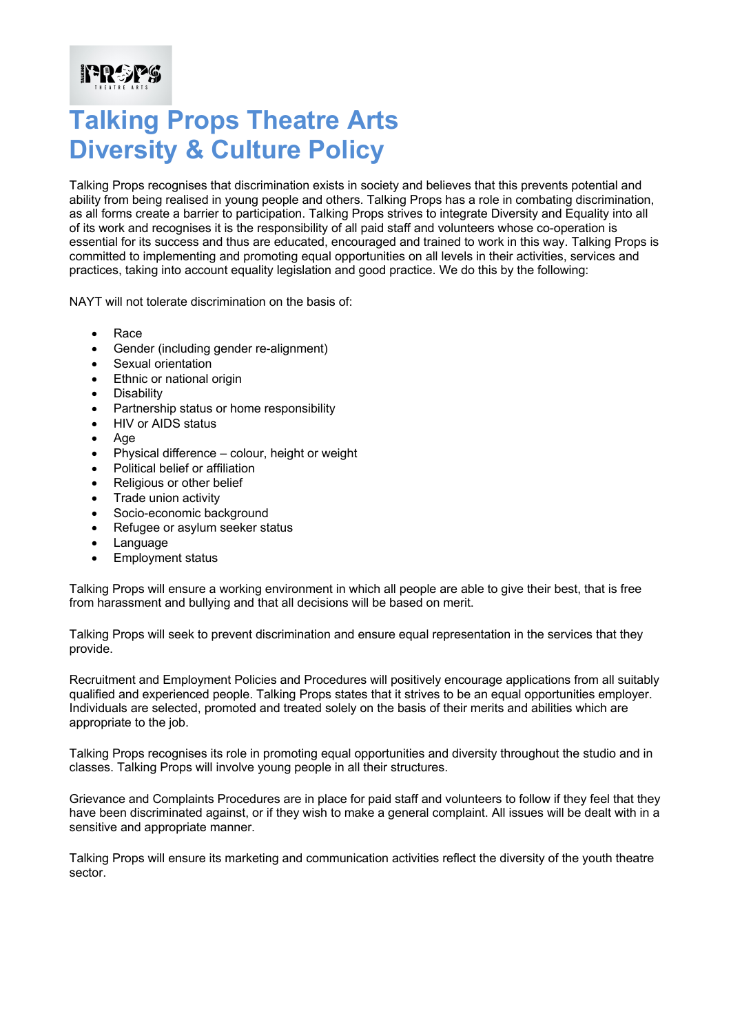## **Talking Props Theatre Arts Diversity & Culture Policy**

Talking Props recognises that discrimination exists in society and believes that this prevents potential and ability from being realised in young people and others. Talking Props has a role in combating discrimination, as all forms create a barrier to participation. Talking Props strives to integrate Diversity and Equality into all of its work and recognises it is the responsibility of all paid staff and volunteers whose co-operation is essential for its success and thus are educated, encouraged and trained to work in this way. Talking Props is committed to implementing and promoting equal opportunities on all levels in their activities, services and practices, taking into account equality legislation and good practice. We do this by the following:

NAYT will not tolerate discrimination on the basis of:

• Race

**PREPS** 

- Gender (including gender re-alignment)
- Sexual orientation
- Ethnic or national origin
- Disability
- Partnership status or home responsibility
- HIV or AIDS status
- Age
- Physical difference colour, height or weight
- Political belief or affiliation
- Religious or other belief
- Trade union activity
- Socio-economic background
- Refugee or asylum seeker status
- Language
- Employment status

Talking Props will ensure a working environment in which all people are able to give their best, that is free from harassment and bullying and that all decisions will be based on merit.

Talking Props will seek to prevent discrimination and ensure equal representation in the services that they provide.

Recruitment and Employment Policies and Procedures will positively encourage applications from all suitably qualified and experienced people. Talking Props states that it strives to be an equal opportunities employer. Individuals are selected, promoted and treated solely on the basis of their merits and abilities which are appropriate to the job.

Talking Props recognises its role in promoting equal opportunities and diversity throughout the studio and in classes. Talking Props will involve young people in all their structures.

Grievance and Complaints Procedures are in place for paid staff and volunteers to follow if they feel that they have been discriminated against, or if they wish to make a general complaint. All issues will be dealt with in a sensitive and appropriate manner.

Talking Props will ensure its marketing and communication activities reflect the diversity of the youth theatre sector.